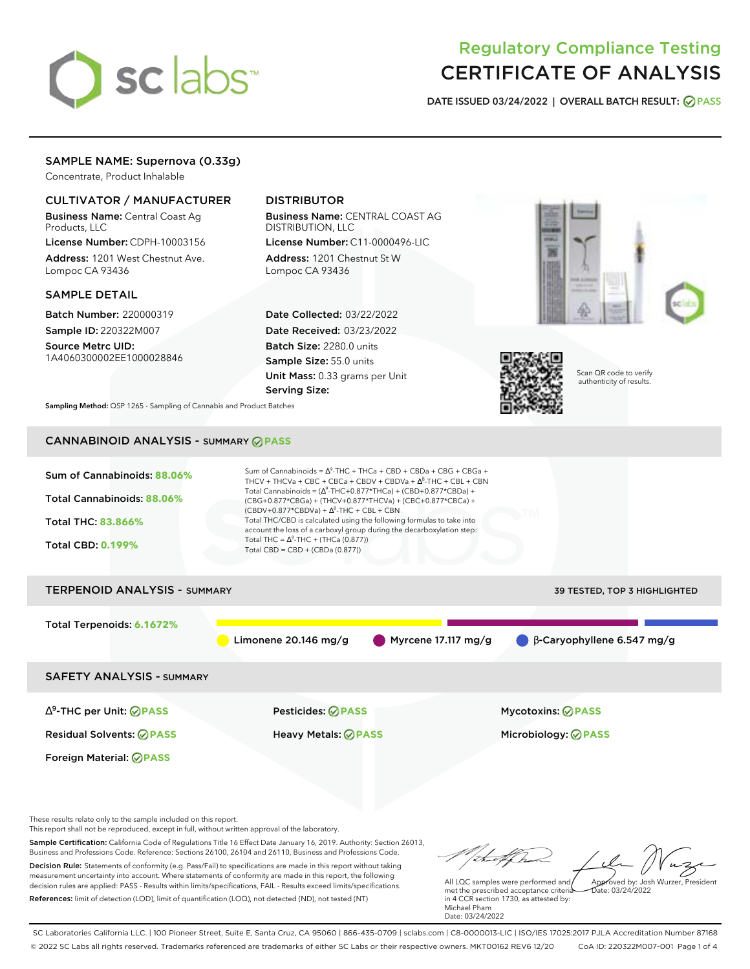# sclabs<sup>\*</sup>

# Regulatory Compliance Testing CERTIFICATE OF ANALYSIS

**DATE ISSUED 03/24/2022 | OVERALL BATCH RESULT: PASS**

# SAMPLE NAME: Supernova (0.33g)

Concentrate, Product Inhalable

# CULTIVATOR / MANUFACTURER

Business Name: Central Coast Ag Products, LLC

License Number: CDPH-10003156 Address: 1201 West Chestnut Ave. Lompoc CA 93436

# SAMPLE DETAIL

Batch Number: 220000319 Sample ID: 220322M007

Source Metrc UID: 1A4060300002EE1000028846

# DISTRIBUTOR

Business Name: CENTRAL COAST AG DISTRIBUTION, LLC License Number: C11-0000496-LIC

Address: 1201 Chestnut St W Lompoc CA 93436

Date Collected: 03/22/2022 Date Received: 03/23/2022 Batch Size: 2280.0 units Sample Size: 55.0 units Unit Mass: 0.33 grams per Unit Serving Size:





Scan QR code to verify authenticity of results.

**Sampling Method:** QSP 1265 - Sampling of Cannabis and Product Batches

# CANNABINOID ANALYSIS - SUMMARY **PASS**



This report shall not be reproduced, except in full, without written approval of the laboratory.

Sample Certification: California Code of Regulations Title 16 Effect Date January 16, 2019. Authority: Section 26013, Business and Professions Code. Reference: Sections 26100, 26104 and 26110, Business and Professions Code. Decision Rule: Statements of conformity (e.g. Pass/Fail) to specifications are made in this report without taking measurement uncertainty into account. Where statements of conformity are made in this report, the following decision rules are applied: PASS - Results within limits/specifications, FAIL - Results exceed limits/specifications.

References: limit of detection (LOD), limit of quantification (LOQ), not detected (ND), not tested (NT)

Approved by: Josh Wurzer, President

 $ate: 03/24/2022$ 

All LQC samples were performed and met the prescribed acceptance criteria in 4 CCR section 1730, as attested by: Michael Pham Date: 03/24/2022

SC Laboratories California LLC. | 100 Pioneer Street, Suite E, Santa Cruz, CA 95060 | 866-435-0709 | sclabs.com | C8-0000013-LIC | ISO/IES 17025:2017 PJLA Accreditation Number 87168 © 2022 SC Labs all rights reserved. Trademarks referenced are trademarks of either SC Labs or their respective owners. MKT00162 REV6 12/20 CoA ID: 220322M007-001 Page 1 of 4